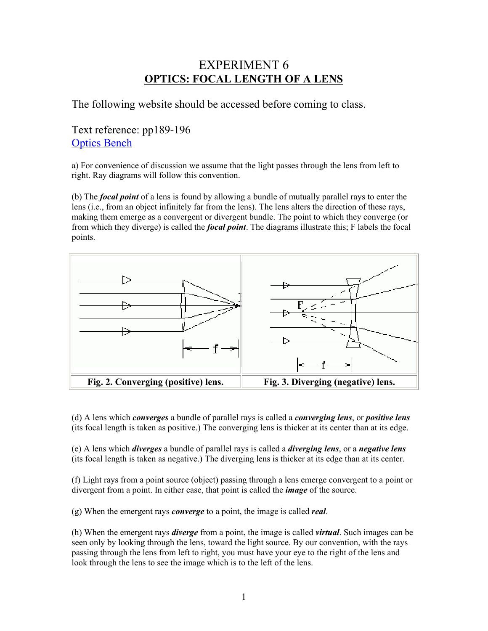# EXPERIMENT 6 **OPTICS: FOCAL LENGTH OF A LENS**

The following website should be accessed before coming to class.

# Text reference: pp189-196 Optics Bench

a) For convenience of discussion we assume that the light passes through the lens from left to right. Ray diagrams will follow this convention.

(b) The *focal point* of a lens is found by allowing a bundle of mutually parallel rays to enter the lens (i.e., from an object infinitely far from the lens). The lens alters the direction of these rays, making them emerge as a convergent or divergent bundle. The point to which they converge (or from which they diverge) is called the *focal point*. The diagrams illustrate this; F labels the focal points.



(d) A lens which *converges* a bundle of parallel rays is called a *converging lens*, or *positive lens* (its focal length is taken as positive.) The converging lens is thicker at its center than at its edge.

(e) A lens which *diverges* a bundle of parallel rays is called a *diverging lens*, or a *negative lens* (its focal length is taken as negative.) The diverging lens is thicker at its edge than at its center.

(f) Light rays from a point source (object) passing through a lens emerge convergent to a point or divergent from a point. In either case, that point is called the *image* of the source.

(g) When the emergent rays *converge* to a point, the image is called *real*.

(h) When the emergent rays *diverge* from a point, the image is called *virtual*. Such images can be seen only by looking through the lens, toward the light source. By our convention, with the rays passing through the lens from left to right, you must have your eye to the right of the lens and look through the lens to see the image which is to the left of the lens.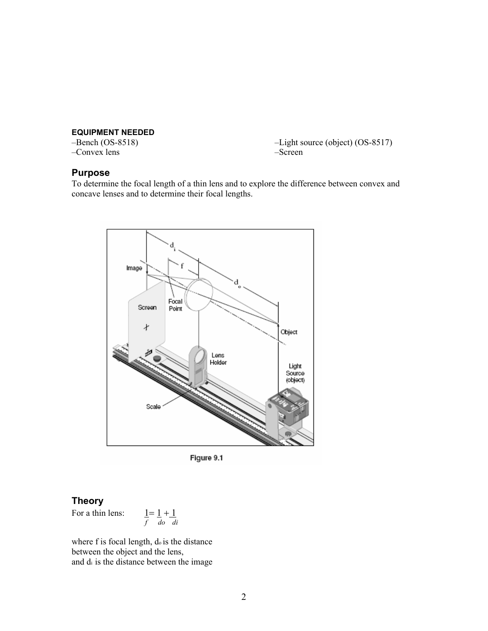# **EQUIPMENT NEEDED**

–Convex lens –Screen

–Light source (object) (OS-8517)

### **Purpose**

To determine the focal length of a thin lens and to explore the difference between convex and concave lenses and to determine their focal lengths.



Figure 9.1

# **Theory**

For a thin lens:

For a thin lens: 
$$
\frac{1}{f} = \frac{1}{d\rho} + \frac{1}{di}
$$

where f is focal length, do is the distance between the object and the lens, and di is the distance between the image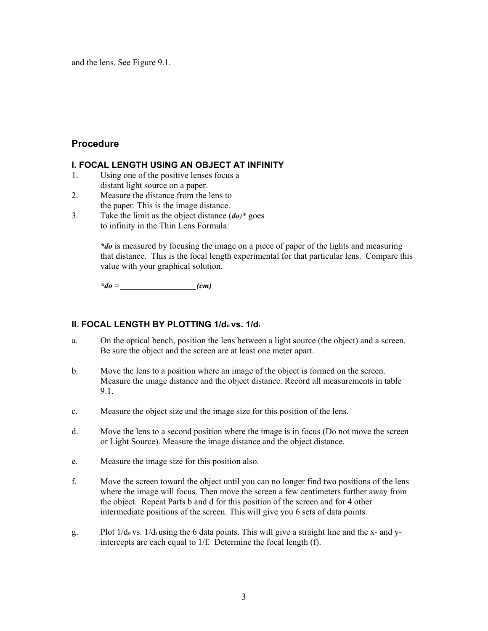and the lens. See Figure 9.1.

## **Procedure**

### **I. FOCAL LENGTH USING AN OBJECT AT INFINITY**

- 1. Using one of the positive lenses focus a distant light source on a paper.
- 2. Measure the distance from the lens to the paper. This is the image distance.
- 3. Take the limit as the object distance (*do)\** goes to infinity in the Thin Lens Formula:

*\*do* is measured by focusing the image on a piece of paper of the lights and measuring that distance. This is the focal length experimental for that particular lens. Compare this value with your graphical solution.

*\*do = \_\_\_\_\_\_\_\_\_\_\_\_\_\_\_\_\_\_\_(cm)* 

## **II. FOCAL LENGTH BY PLOTTING 1/do vs. 1/di**

- a. On the optical bench, position the lens between a light source (the object) and a screen. Be sure the object and the screen are at least one meter apart.
- b. Move the lens to a position where an image of the object is formed on the screen. Measure the image distance and the object distance. Record all measurements in table 9.1.
- c. Measure the object size and the image size for this position of the lens.
- d. Move the lens to a second position where the image is in focus (Do not move the screen or Light Source). Measure the image distance and the object distance.
- e. Measure the image size for this position also.
- f. Move the screen toward the object until you can no longer find two positions of the lens where the image will focus. Then move the screen a few centimeters further away from the object. Repeat Parts b and d for this position of the screen and for 4 other intermediate positions of the screen. This will give you 6 sets of data points.
- g. Plot 1/do vs. 1/di using the 6 data points. This will give a straight line and the x- and yintercepts are each equal to 1/f. Determine the focal length (f).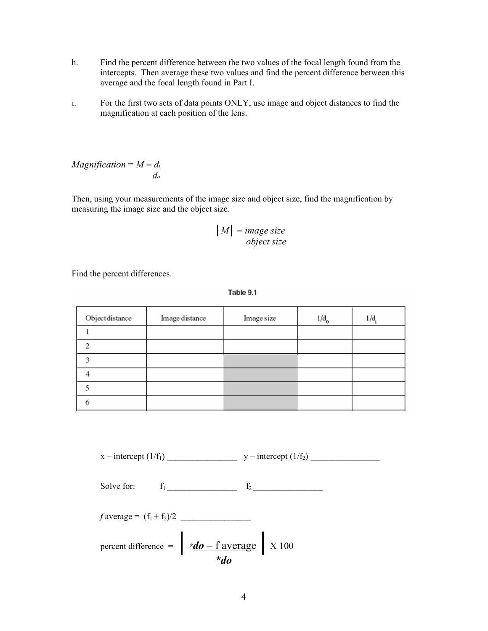- h. Find the percent difference between the two values of the focal length found from the intercepts. Then average these two values and find the percent difference between this average and the focal length found in Part I.
- i. For the first two sets of data points ONLY, use image and object distances to find the magnification at each position of the lens.

*Magnification* =  $M = \underline{d_i}$  *do*

Then, using your measurements of the image size and object size, find the magnification by measuring the image size and the object size.

$$
|M| = \frac{\text{image size}}{\text{object size}}
$$

Find the percent differences.

| Table 9. |  |  |
|----------|--|--|
|          |  |  |

| Objectdistance | Image distance | Image size | $1/d$ <sub>0</sub> | 1/d |
|----------------|----------------|------------|--------------------|-----|
|                |                |            |                    |     |
|                |                |            |                    |     |
|                |                |            |                    |     |
|                |                |            |                    |     |
|                |                |            |                    |     |
|                |                |            |                    |     |

x – intercept (1/f1) \_\_\_\_\_\_\_\_\_\_\_\_\_\_\_\_ y – intercept (1/f2) \_\_\_\_\_\_\_\_\_\_\_\_\_\_\_\_

Solve for:  $f_1$   $f_2$ 

*f* average =  $(f_1 + f_2)/2$ 

percent difference =  $\frac{d\theta - f \text{ average}}{f}$  X 100 *\*do*